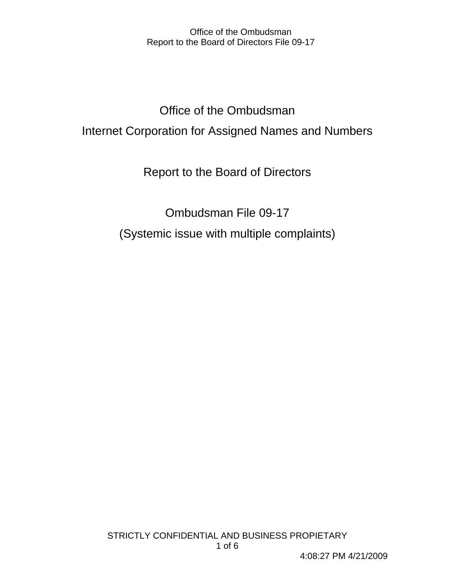Office of the Ombudsman Internet Corporation for Assigned Names and Numbers

Report to the Board of Directors

Ombudsman File 09-17 (Systemic issue with multiple complaints)

STRICTLY CONFIDENTIAL AND BUSINESS PROPIETARY 1 of 6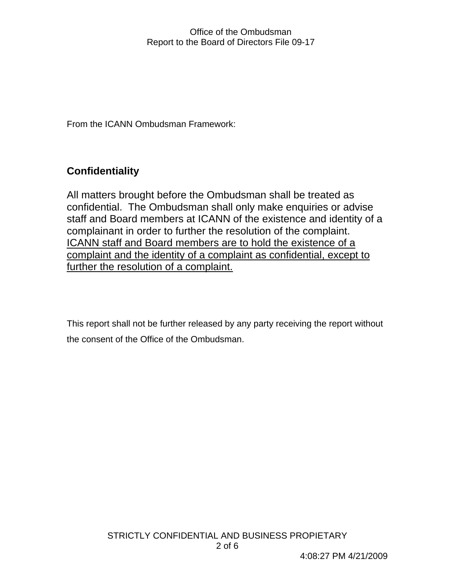From the ICANN Ombudsman Framework:

# **Confidentiality**

All matters brought before the Ombudsman shall be treated as confidential. The Ombudsman shall only make enquiries or advise staff and Board members at ICANN of the existence and identity of a complainant in order to further the resolution of the complaint. ICANN staff and Board members are to hold the existence of a complaint and the identity of a complaint as confidential, except to further the resolution of a complaint.

This report shall not be further released by any party receiving the report without the consent of the Office of the Ombudsman.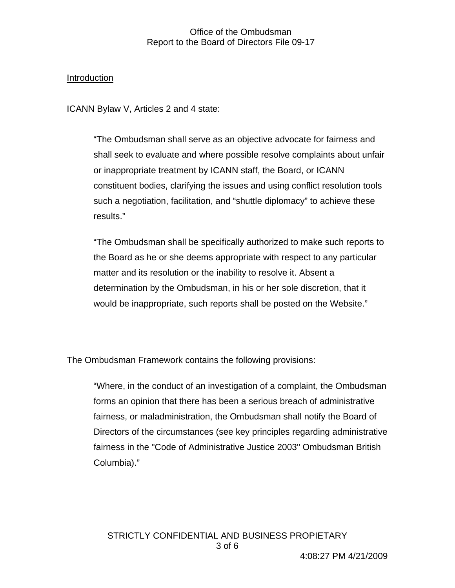#### Introduction

ICANN Bylaw V, Articles 2 and 4 state:

"The Ombudsman shall serve as an objective advocate for fairness and shall seek to evaluate and where possible resolve complaints about unfair or inappropriate treatment by ICANN staff, the Board, or ICANN constituent bodies, clarifying the issues and using conflict resolution tools such a negotiation, facilitation, and "shuttle diplomacy" to achieve these results."

"The Ombudsman shall be specifically authorized to make such reports to the Board as he or she deems appropriate with respect to any particular matter and its resolution or the inability to resolve it. Absent a determination by the Ombudsman, in his or her sole discretion, that it would be inappropriate, such reports shall be posted on the Website."

The Ombudsman Framework contains the following provisions:

"Where, in the conduct of an investigation of a complaint, the Ombudsman forms an opinion that there has been a serious breach of administrative fairness, or maladministration, the Ombudsman shall notify the Board of Directors of the circumstances (see key principles regarding administrative fairness in the "Code of Administrative Justice 2003" Ombudsman British Columbia)."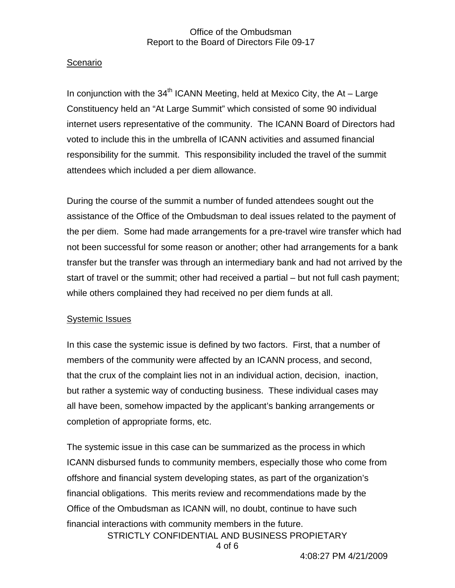# Scenario

In conjunction with the 34<sup>th</sup> ICANN Meeting, held at Mexico City, the At – Large Constituency held an "At Large Summit" which consisted of some 90 individual internet users representative of the community. The ICANN Board of Directors had voted to include this in the umbrella of ICANN activities and assumed financial responsibility for the summit. This responsibility included the travel of the summit attendees which included a per diem allowance.

During the course of the summit a number of funded attendees sought out the assistance of the Office of the Ombudsman to deal issues related to the payment of the per diem. Some had made arrangements for a pre-travel wire transfer which had not been successful for some reason or another; other had arrangements for a bank transfer but the transfer was through an intermediary bank and had not arrived by the start of travel or the summit; other had received a partial – but not full cash payment; while others complained they had received no per diem funds at all.

## Systemic Issues

In this case the systemic issue is defined by two factors. First, that a number of members of the community were affected by an ICANN process, and second, that the crux of the complaint lies not in an individual action, decision, inaction, but rather a systemic way of conducting business. These individual cases may all have been, somehow impacted by the applicant's banking arrangements or completion of appropriate forms, etc.

The systemic issue in this case can be summarized as the process in which ICANN disbursed funds to community members, especially those who come from offshore and financial system developing states, as part of the organization's financial obligations. This merits review and recommendations made by the Office of the Ombudsman as ICANN will, no doubt, continue to have such financial interactions with community members in the future.

STRICTLY CONFIDENTIAL AND BUSINESS PROPIETARY

4 of 6

4:08:27 PM 4/21/2009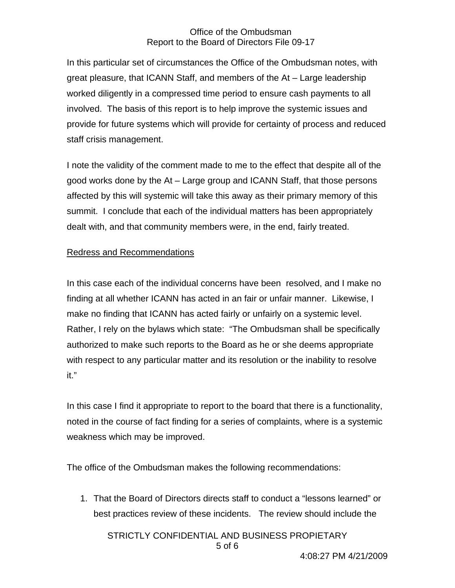In this particular set of circumstances the Office of the Ombudsman notes, with great pleasure, that ICANN Staff, and members of the At – Large leadership worked diligently in a compressed time period to ensure cash payments to all involved. The basis of this report is to help improve the systemic issues and provide for future systems which will provide for certainty of process and reduced staff crisis management.

I note the validity of the comment made to me to the effect that despite all of the good works done by the At – Large group and ICANN Staff, that those persons affected by this will systemic will take this away as their primary memory of this summit. I conclude that each of the individual matters has been appropriately dealt with, and that community members were, in the end, fairly treated.

## Redress and Recommendations

In this case each of the individual concerns have been resolved, and I make no finding at all whether ICANN has acted in an fair or unfair manner. Likewise, I make no finding that ICANN has acted fairly or unfairly on a systemic level. Rather, I rely on the bylaws which state: "The Ombudsman shall be specifically authorized to make such reports to the Board as he or she deems appropriate with respect to any particular matter and its resolution or the inability to resolve it."

In this case I find it appropriate to report to the board that there is a functionality, noted in the course of fact finding for a series of complaints, where is a systemic weakness which may be improved.

The office of the Ombudsman makes the following recommendations:

1. That the Board of Directors directs staff to conduct a "lessons learned" or best practices review of these incidents. The review should include the

STRICTLY CONFIDENTIAL AND BUSINESS PROPIETARY

5 of 6

4:08:27 PM 4/21/2009